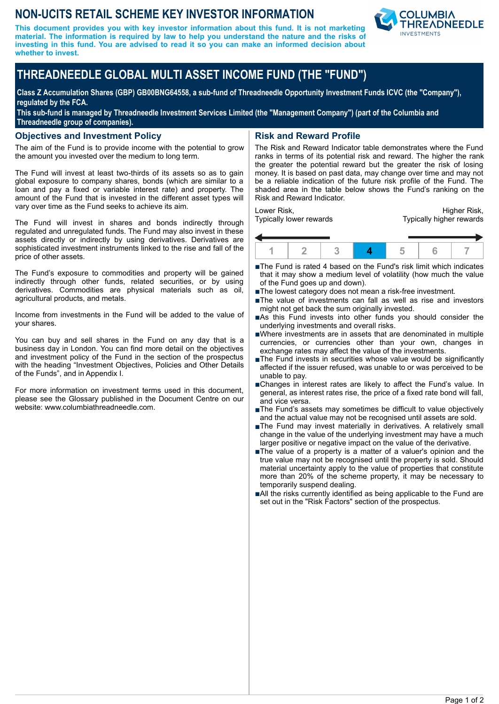## **NON-UCITS RETAIL SCHEME KEY INVESTOR INFORMATION**

**This document provides you with key investor information about this fund. It is not marketing material. The information is required by law to help you understand the nature and the risks of investing in this fund. You are advised to read it so you can make an informed decision about whether to invest.**



# **THREADNEEDLE GLOBAL MULTI ASSET INCOME FUND (THE "FUND")**

**Class Z Accumulation Shares (GBP) GB00BNG64558, a sub-fund of Threadneedle Opportunity Investment Funds ICVC (the "Company"), regulated by the FCA.**

**This sub-fund is managed by Threadneedle Investment Services Limited (the "Management Company") (part of the Columbia and Threadneedle group of companies).**

#### **Objectives and Investment Policy**

The aim of the Fund is to provide income with the potential to grow the amount you invested over the medium to long term.

The Fund will invest at least two-thirds of its assets so as to gain global exposure to company shares, bonds (which are similar to a loan and pay a fixed or variable interest rate) and property. The amount of the Fund that is invested in the different asset types will vary over time as the Fund seeks to achieve its aim.

The Fund will invest in shares and bonds indirectly through regulated and unregulated funds. The Fund may also invest in these assets directly or indirectly by using derivatives. Derivatives are sophisticated investment instruments linked to the rise and fall of the price of other assets.

The Fund's exposure to commodities and property will be gained indirectly through other funds, related securities, or by using derivatives. Commodities are physical materials such as oil, agricultural products, and metals.

Income from investments in the Fund will be added to the value of your shares.

You can buy and sell shares in the Fund on any day that is a business day in London. You can find more detail on the objectives and investment policy of the Fund in the section of the prospectus with the heading "Investment Objectives, Policies and Other Details of the Funds", and in Appendix I.

For more information on investment terms used in this document, please see the Glossary published in the Document Centre on our website: www.columbiathreadneedle.com.

#### **Risk and Reward Profile**

The Risk and Reward Indicator table demonstrates where the Fund ranks in terms of its potential risk and reward. The higher the rank the greater the potential reward but the greater the risk of losing money. It is based on past data, may change over time and may not be a reliable indication of the future risk profile of the Fund. The shaded area in the table below shows the Fund's ranking on the Risk and Reward Indicator.

Lower Risk, Typically lower rewards

Higher Risk, Typically higher rewards



- ■The Fund is rated 4 based on the Fund's risk limit which indicates that it may show a medium level of volatility (how much the value of the Fund goes up and down).
- The lowest category does not mean a risk-free investment.
- The value of investments can fall as well as rise and investors might not get back the sum originally invested.
- ■As this Fund invests into other funds you should consider the underlying investments and overall risks.
- nWhere investments are in assets that are denominated in multiple currencies, or currencies other than your own, changes in exchange rates may affect the value of the investments.
- ■The Fund invests in securities whose value would be significantly affected if the issuer refused, was unable to or was perceived to be unable to pay.
- ■Changes in interest rates are likely to affect the Fund's value. In general, as interest rates rise, the price of a fixed rate bond will fall, and vice versa.
- ■The Fund's assets may sometimes be difficult to value objectively and the actual value may not be recognised until assets are sold.
- ■The Fund may invest materially in derivatives. A relatively small change in the value of the underlying investment may have a much larger positive or negative impact on the value of the derivative.
- nThe value of a property is a matter of a valuer's opinion and the true value may not be recognised until the property is sold. Should material uncertainty apply to the value of properties that constitute more than 20% of the scheme property, it may be necessary to temporarily suspend dealing.
- ■All the risks currently identified as being applicable to the Fund are set out in the "Risk Factors" section of the prospectus.